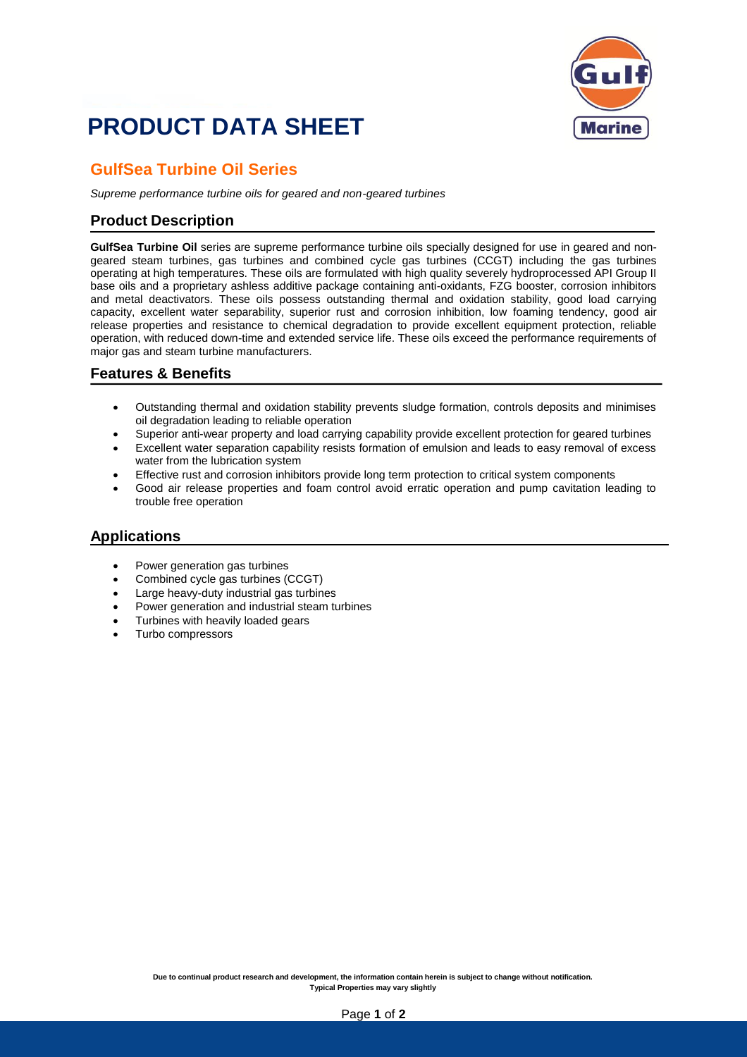## **PRODUCT DATA SHEET**



### **GulfSea Turbine Oil Series**

*Supreme performance turbine oils for geared and non-geared turbines*

#### **Product Description**

**GulfSea Turbine Oil** series are supreme performance turbine oils specially designed for use in geared and nongeared steam turbines, gas turbines and combined cycle gas turbines (CCGT) including the gas turbines operating at high temperatures. These oils are formulated with high quality severely hydroprocessed API Group II base oils and a proprietary ashless additive package containing anti-oxidants, FZG booster, corrosion inhibitors and metal deactivators. These oils possess outstanding thermal and oxidation stability, good load carrying capacity, excellent water separability, superior rust and corrosion inhibition, low foaming tendency, good air release properties and resistance to chemical degradation to provide excellent equipment protection, reliable operation, with reduced down-time and extended service life. These oils exceed the performance requirements of major gas and steam turbine manufacturers.

#### **Features & Benefits**

- Outstanding thermal and oxidation stability prevents sludge formation, controls deposits and minimises oil degradation leading to reliable operation
- Superior anti-wear property and load carrying capability provide excellent protection for geared turbines
- Excellent water separation capability resists formation of emulsion and leads to easy removal of excess water from the lubrication system
- Effective rust and corrosion inhibitors provide long term protection to critical system components
- Good air release properties and foam control avoid erratic operation and pump cavitation leading to trouble free operation

#### **Applications**

- Power generation gas turbines
- Combined cycle gas turbines (CCGT)
- Large heavy-duty industrial gas turbines
- Power generation and industrial steam turbines
- Turbines with heavily loaded gears
- Turbo compressors